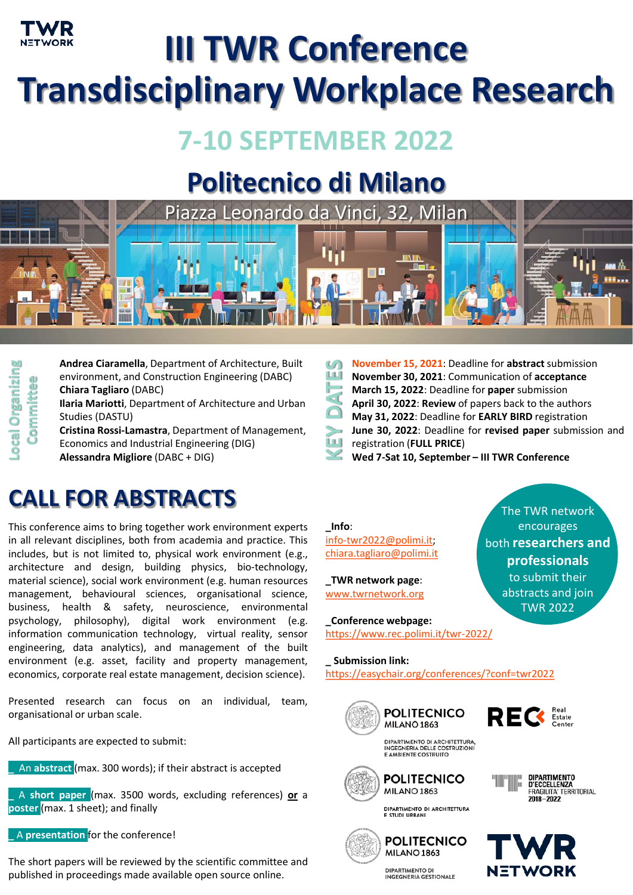

# **III TWR Conference Transdisciplinary Workplace Research**

### **7-10 SEPTEMBER 2022**

## **Politecnico di Milano**



**Drganizing Organizing** Committee **Committee**

**Andrea Ciaramella**, Department of Architecture, Built environment, and Construction Engineering (DABC) **Chiara Tagliaro** (DABC) **Ilaria Mariotti**, Department of Architecture and Urban Studies (DASTU)

**Cristina Rossi-Lamastra**, Department of Management, Economics and Industrial Engineering (DIG) **Alessandra Migliore** (DABC + DIG)

### **CALL FOR ABSTRACTS**

This conference aims to bring together work environment experts in all relevant disciplines, both from academia and practice. This includes, but is not limited to, physical work environment (e.g., architecture and design, building physics, bio-technology, material science), social work environment (e.g. human resources management, behavioural sciences, organisational science, business, health & safety, neuroscience, environmental psychology, philosophy), digital work environment (e.g. information communication technology, virtual reality, sensor engineering, data analytics), and management of the built environment (e.g. asset, facility and property management, economics, corporate real estate management, decision science).

Presented research can focus on an individual, team, organisational or urban scale.

All participants are expected to submit:

**\_** An **abstract** (max. 300 words); if their abstract is accepted

**\_** A **short paper** (max. 3500 words, excluding references) **or** a **poster** (max. 1 sheet); and finally

**\_** A **presentation** for the conference!

The short papers will be reviewed by the scientific committee and published in proceedings made available open source online.

- **November 15, 2021**: Deadline for **abstract** submission **KEY DATES** ũЙ **November 30, 2021**: Communication of **acceptance March 15, 2022**: Deadline for **paper** submission
- **April 30, 2022**: **Review** of papers back to the authors
- **May 31, 2022**: Deadline for **EARLY BIRD** registration
- **June 30, 2022**: Deadline for **revised paper** submission and
- registration (**FULL PRICE**)
- **Wed 7-Sat 10, September – III TWR Conference**

### **\_Info**:

[info-twr2022@polimi.it;](mailto:info-twr2022@polimi.it) [chiara.tagliaro@polimi.it](mailto:chiara.tagliaro@polimi.it)

**\_TWR network page**: [www.twrnetwork.org](http://www.twrnetwork.org/)

**\_Conference webpage:** <https://www.rec.polimi.it/twr-2022/>

**\_ Submission link:** <https://easychair.org/conferences/?conf=twr2022>







**DIPARTIMENTO** D'ECCELLENZA **FRAGILITA' TERRITORIAL** 

2018-2022

The TWR network encourages both **researchers and professionals**  to submit their abstracts and join TWR 2022

DIPARTIMENTO DI ARCHITETTURA. INGEGNERIA DELLE COSTRUZIONI<br>E AMBIENTE COSTRUITO



DIPARTIMENTO DI ARCHITETTURA<br>E STUDI URBANI

**POLITECNICO** 

MILANO 1863





NETWORK

**DIPARTIMENTO DI INGEGNERIA GESTIONALE**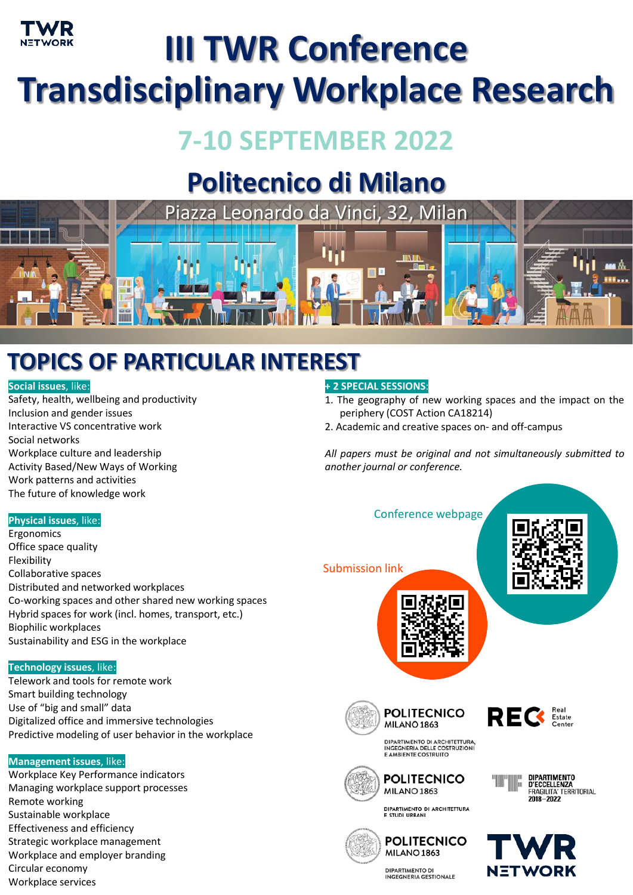

# **III TWR Conference Transdisciplinary Workplace Research**

## **7-10 SEPTEMBER 2022**

## **Politecnico di Milano**



### **TOPICS OF PARTICULAR INTEREST**

#### **Social issues**, like:

Safety, health, wellbeing and productivity Inclusion and gender issues Interactive VS concentrative work Social networks Workplace culture and leadership Activity Based/New Ways of Working Work patterns and activities The future of knowledge work

#### **+ 2 SPECIAL SESSIONS**:

- 1. The geography of new working spaces and the impact on the periphery (COST Action CA18214)
- 2. Academic and creative spaces on- and off-campus

Conference webpage

*All papers must be original and not simultaneously submitted to another journal or conference.*



#### **Technology issues**, like:

Telework and tools for remote work Smart building technology Use of "big and small" data Digitalized office and immersive technologies Predictive modeling of user behavior in the workplace

#### **Management issues**, like:

Workplace Key Performance indicators Managing workplace support processes Remote working Sustainable workplace Effectiveness and efficiency Strategic workplace management Workplace and employer branding Circular economy Workplace services





**DIPARTIMENTO** 

2018-2022

DIPARTIMENTO<br>D'ECCELLENZA<br>FRAGILITA' TERRITORIAL





DIPARTIMENTO DI ARCHITETTURA<br>E STUDI URBANI





**DIPARTIMENTO DI INGEGNERIA GESTIONALE**